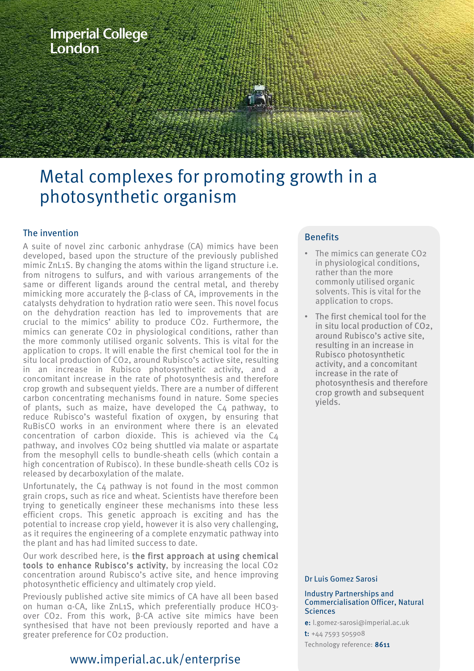

# Metal complexes for promoting growth in a photosynthetic organism

## The invention

A suite of novel zinc carbonic anhydrase (CA) mimics have been developed, based upon the structure of the previously published mimic ZnL1S. By changing the atoms within the ligand structure i.e. from nitrogens to sulfurs, and with various arrangements of the same or different ligands around the central metal, and thereby mimicking more accurately the β-class of CA, improvements in the catalysts dehydration to hydration ratio were seen. This novel focus on the dehydration reaction has led to improvements that are crucial to the mimics' ability to produce CO2. Furthermore, the mimics can generate CO2 in physiological conditions, rather than the more commonly utilised organic solvents. This is vital for the application to crops. It will enable the first chemical tool for the in situ local production of CO2, around Rubisco's active site, resulting in an increase in Rubisco photosynthetic activity, and a concomitant increase in the rate of photosynthesis and therefore crop growth and subsequent yields. There are a number of different carbon concentrating mechanisms found in nature. Some species of plants, such as maize, have developed the C4 pathway, to reduce Rubisco's wasteful fixation of oxygen, by ensuring that RuBisCO works in an environment where there is an elevated concentration of carbon dioxide. This is achieved via the C4 pathway, and involves CO2 being shuttled via malate or aspartate from the mesophyll cells to bundle-sheath cells (which contain a high concentration of Rubisco). In these bundle-sheath cells CO2 is released by decarboxylation of the malate.

Unfortunately, the C4 pathway is not found in the most common grain crops, such as rice and wheat. Scientists have therefore been trying to genetically engineer these mechanisms into these less efficient crops. This genetic approach is exciting and has the potential to increase crop yield, however it is also very challenging, as it requires the engineering of a complete enzymatic pathway into the plant and has had limited success to date.

Our work described here, is the first approach at using chemical tools to enhance Rubisco's activity, by increasing the local CO2 concentration around Rubisco's active site, and hence improving photosynthetic efficiency and ultimately crop yield.

Previously published active site mimics of CA have all been based on human α-CA, like ZnL1S, which preferentially produce HCO3 over CO2. From this work, β-CA active site mimics have been synthesised that have not been previously reported and have a greater preference for CO2 production.

# www.imperial.ac.uk/enterprise

## **Benefits**

- The mimics can generate CO2 in physiological conditions, rather than the more commonly utilised organic solvents. This is vital for the application to crops.
- The first chemical tool for the in situ local production of CO2, around Rubisco's active site, resulting in an increase in Rubisco photosynthetic activity, and a concomitant increase in the rate of photosynthesis and therefore crop growth and subsequent yields.

#### Dr Luis Gomez Sarosi

#### Industry Partnerships and Commercialisation Officer, Natural Sciences

e: l.gomez-sarosi@imperial.ac.uk

t: +44 7593 505908

Technology reference: 8611